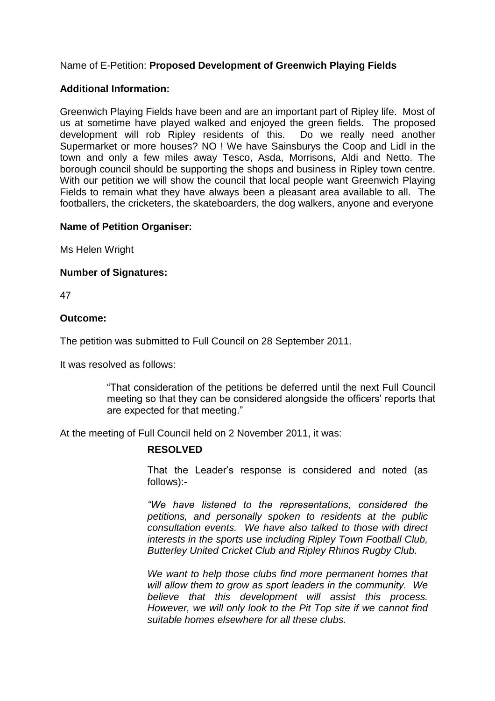# Name of E-Petition: **Proposed Development of Greenwich Playing Fields**

## **Additional Information:**

Greenwich Playing Fields have been and are an important part of Ripley life. Most of us at sometime have played walked and enjoyed the green fields. The proposed development will rob Ripley residents of this. Do we really need another Supermarket or more houses? NO ! We have Sainsburys the Coop and Lidl in the town and only a few miles away Tesco, Asda, Morrisons, Aldi and Netto. The borough council should be supporting the shops and business in Ripley town centre. With our petition we will show the council that local people want Greenwich Playing Fields to remain what they have always been a pleasant area available to all. The footballers, the cricketers, the skateboarders, the dog walkers, anyone and everyone

#### **Name of Petition Organiser:**

Ms Helen Wright

#### **Number of Signatures:**

47

#### **Outcome:**

The petition was submitted to Full Council on 28 September 2011.

It was resolved as follows:

"That consideration of the petitions be deferred until the next Full Council meeting so that they can be considered alongside the officers' reports that are expected for that meeting."

At the meeting of Full Council held on 2 November 2011, it was:

## **RESOLVED**

That the Leader's response is considered and noted (as follows):-

*"We have listened to the representations,considered the petitions, and personally spoken to residents at the public consultation events. We have also talked to those with direct interests in the sports use including Ripley Town Football Club, Butterley United Cricket Club and Ripley Rhinos Rugby Club.*

*We want to help those clubs find more permanent homes that will allow them to grow as sport leaders in the community. We believe that this development will assist this process. However, we will only look to the Pit Top site if we cannot find suitable homes elsewhere for all these clubs.*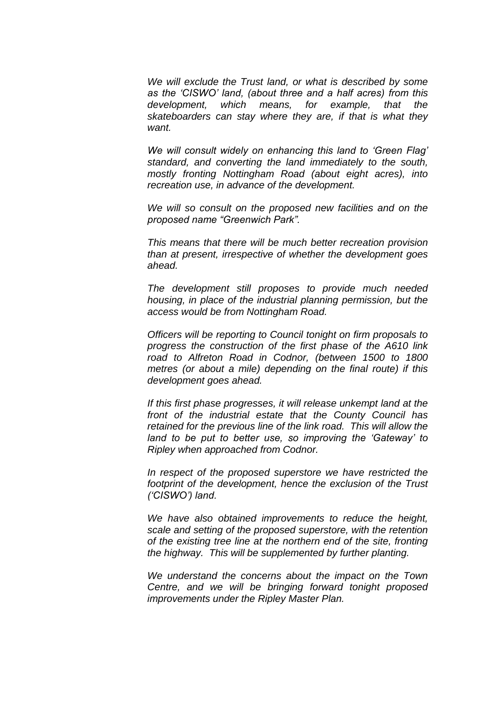*We will exclude the Trust land, or what is described by some asthe'CISWO'land,(aboutthreeandahalfacres)from this development, which means, for example, that the skateboarders can stay where they are, if that is what they want.*

*We will consult widely on enhancing this land to 'Green Flag' standard, and converting the land immediately to the south, mostly fronting Nottingham Road (about eight acres), into recreation use, in advance of the development.*

*We will so consult on the proposed new facilities and on the proposedname"GreenwichPark".*

*This means that there will be much better recreation provision than at present, irrespective of whether the development goes ahead.*

*The development still proposes to provide much needed housing, in place of the industrial planning permission, but the access would be from Nottingham Road.*

*Officers will be reporting to Council tonight on firm proposals to progress the construction of the first phase of the A610 link road to Alfreton Road in Codnor, (between 1500 to 1800 metres (or about a mile) depending on the final route) if this development goes ahead.*

*If this first phase progresses, it will release unkempt land at the front of the industrial estate that the County Council has retained for the previous line of the link road. This will allow the* land to be put to better use, so improving the 'Gateway' to *Ripley when approached from Codnor.*

*In respect of the proposed superstore we have restricted the footprint of the development, hence the exclusion of the Trust ('CISWO')land.*

*We have also obtained improvements to reduce the height, scale and setting of the proposed superstore, with the retention of the existing tree line at the northern end of the site, fronting the highway. This will be supplemented by further planting.*

*We understand the concerns about the impact on the Town Centre, and we will be bringing forward tonight proposed improvements under the Ripley Master Plan.*